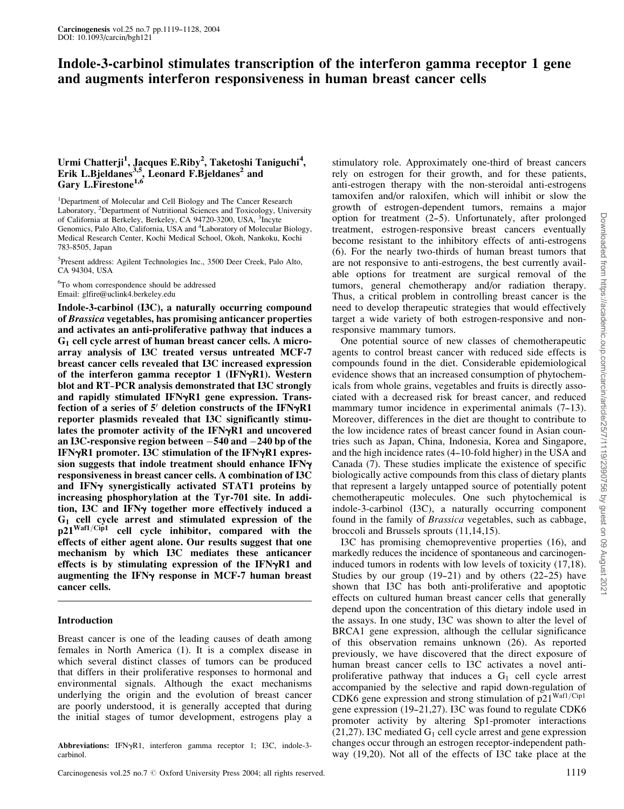# Indole-3-carbinol stimulates transcription of the interferon gamma receptor 1 gene and augments interferon responsiveness in human breast cancer cells

# Urmi Chatterji<sup>1</sup>, Jacques E.Riby<sup>2</sup>, Taketoshi Taniguchi<sup>4</sup>, Erik L.Bjeldanes<sup>3,5</sup>, Leonard F.Bjeldanes<sup>2</sup> and Gary L.Firestone<sup>1,6</sup>

<sup>1</sup>Department of Molecular and Cell Biology and The Cancer Research Laboratory, <sup>2</sup>Department of Nutritional Sciences and Toxicology, University of California at Berkeley, Berkeley, CA 94720-3200, USA, <sup>3</sup>Incyte Genomics, Palo Alto, California, USA and <sup>4</sup>Laboratory of Molecular Biology, Medical Research Center, Kochi Medical School, Okoh, Nankoku, Kochi 783-8505, Japan

5 Present address: Agilent Technologies Inc., 3500 Deer Creek, Palo Alto, CA 94304, USA

<sup>6</sup>To whom correspondence should be addressed Email: glfire@uclink4.berkeley.edu

Indole-3-carbinol (I3C), a naturally occurring compound of Brassica vegetables, has promising anticancer properties and activates an anti-proliferative pathway that induces a G<sup>1</sup> cell cycle arrest of human breast cancer cells. A microarray analysis of I3C treated versus untreated MCF-7 breast cancer cells revealed that I3C increased expression of the interferon gamma receptor 1 (IFN $\nu$ R1). Western blot and RT--PCR analysis demonstrated that I3C strongly and rapidly stimulated IFNyR1 gene expression. Transfection of a series of  $5'$  deletion constructs of the IFN $\gamma$ R1 reporter plasmids revealed that I3C significantly stimulates the promoter activity of the IFN $\gamma$ R1 and uncovered an I3C-responsive region between  $-540$  and  $-240$  bp of the IFN $\gamma$ R1 promoter. I3C stimulation of the IFN $\gamma$ R1 expression suggests that indole treatment should enhance  $IFN\gamma$ responsiveness in breast cancer cells. A combination of I3C and IFN $\gamma$  synergistically activated STAT1 proteins by increasing phosphorylation at the Tyr-701 site. In addition, I3C and IFNy together more effectively induced a G<sup>1</sup> cell cycle arrest and stimulated expression of the  $p21<sup>Waf1/Cip1</sup>$  cell cycle inhibitor, compared with the effects of either agent alone. Our results suggest that one mechanism by which I3C mediates these anticancer effects is by stimulating expression of the IFN $\gamma$ R1 and augmenting the IFN $\gamma$  response in MCF-7 human breast cancer cells.

# Introduction

Breast cancer is one of the leading causes of death among females in North America (1). It is a complex disease in which several distinct classes of tumors can be produced that differs in their proliferative responses to hormonal and environmental signals. Although the exact mechanisms underlying the origin and the evolution of breast cancer are poorly understood, it is generally accepted that during the initial stages of tumor development, estrogens play a

Abbreviations: IFNyR1, interferon gamma receptor 1; I3C, indole-3carbinol.

Carcinogenesis vol.25 no.7  $\odot$  Oxford University Press 2004; all rights reserved. 1119

stimulatory role. Approximately one-third of breast cancers rely on estrogen for their growth, and for these patients, anti-estrogen therapy with the non-steroidal anti-estrogens tamoxifen and/or raloxifen, which will inhibit or slow the growth of estrogen-dependent tumors, remains a major option for treatment  $(2-5)$ . Unfortunately, after prolonged treatment, estrogen-responsive breast cancers eventually become resistant to the inhibitory effects of anti-estrogens (6). For the nearly two-thirds of human breast tumors that are not responsive to anti-estrogens, the best currently available options for treatment are surgical removal of the tumors, general chemotherapy and/or radiation therapy. Thus, a critical problem in controlling breast cancer is the need to develop therapeutic strategies that would effectively target a wide variety of both estrogen-responsive and nonresponsive mammary tumors.

One potential source of new classes of chemotherapeutic agents to control breast cancer with reduced side effects is compounds found in the diet. Considerable epidemiological evidence shows that an increased consumption of phytochemicals from whole grains, vegetables and fruits is directly associated with a decreased risk for breast cancer, and reduced mammary tumor incidence in experimental animals  $(7-13)$ . Moreover, differences in the diet are thought to contribute to the low incidence rates of breast cancer found in Asian countries such as Japan, China, Indonesia, Korea and Singapore, and the high incidence rates (4–10-fold higher) in the USA and Canada (7). These studies implicate the existence of specific biologically active compounds from this class of dietary plants that represent a largely untapped source of potentially potent chemotherapeutic molecules. One such phytochemical is indole-3-carbinol (I3C), a naturally occurring component found in the family of Brassica vegetables, such as cabbage, broccoli and Brussels sprouts (11,14,15).

I3C has promising chemopreventive properties (16), and markedly reduces the incidence of spontaneous and carcinogeninduced tumors in rodents with low levels of toxicity (17,18). Studies by our group  $(19-21)$  and by others  $(22-25)$  have shown that I3C has both anti-proliferative and apoptotic effects on cultured human breast cancer cells that generally depend upon the concentration of this dietary indole used in the assays. In one study, I3C was shown to alter the level of BRCA1 gene expression, although the cellular significance of this observation remains unknown (26). As reported previously, we have discovered that the direct exposure of human breast cancer cells to I3C activates a novel antiproliferative pathway that induces a  $G_1$  cell cycle arrest accompanied by the selective and rapid down-regulation of CDK6 gene expression and strong stimulation of  $p21<sup>Waf1/Cip1</sup>$ gene expression  $(19-21,27)$ . I3C was found to regulate CDK6 promoter activity by altering Sp1-promoter interactions  $(21,27)$ . I3C mediated G<sub>1</sub> cell cycle arrest and gene expression changes occur through an estrogen receptor-independent pathway (19,20). Not all of the effects of I3C take place at the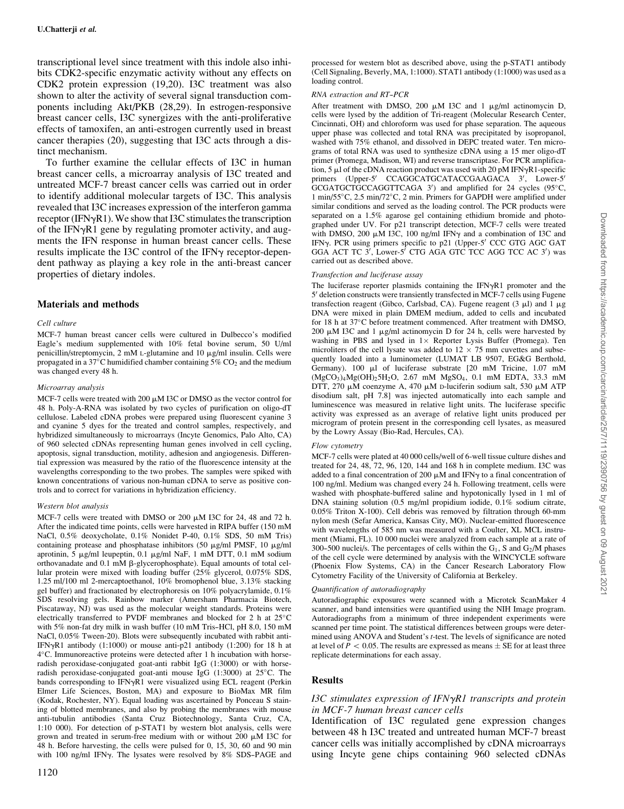transcriptional level since treatment with this indole also inhibits CDK2-specific enzymatic activity without any effects on CDK2 protein expression (19,20). I3C treatment was also shown to alter the activity of several signal transduction components including Akt/PKB (28,29). In estrogen-responsive breast cancer cells, I3C synergizes with the anti-proliferative effects of tamoxifen, an anti-estrogen currently used in breast cancer therapies (20), suggesting that I3C acts through a distinct mechanism.

To further examine the cellular effects of I3C in human breast cancer cells, a microarray analysis of I3C treated and untreated MCF-7 breast cancer cells was carried out in order to identify additional molecular targets of I3C. This analysis revealed that I3C increases expression of the interferon gamma receptor (IFN $\gamma$ R1). We show that I3C stimulates the transcription of the IFN $\gamma$ R1 gene by regulating promoter activity, and augments the IFN response in human breast cancer cells. These results implicate the I3C control of the IFN $\gamma$  receptor-dependent pathway as playing a key role in the anti-breast cancer properties of dietary indoles.

### Materials and methods

#### Cell culture

MCF-7 human breast cancer cells were cultured in Dulbecco's modified Eagle's medium supplemented with 10% fetal bovine serum, 50 U/ml penicillin/streptomycin,  $2 \text{ mM } L$ -glutamine and  $10 \mu g/ml$  insulin. Cells were propagated in a 37 $\degree$ C humidified chamber containing 5%  $CO_2$  and the medium was changed every 48 h.

#### Microarray analysis

MCF-7 cells were treated with 200  $\mu$ M I3C or DMSO as the vector control for 48 h. Poly-A-RNA was isolated by two cycles of purification on oligo-dT cellulose. Labeled cDNA probes were prepared using fluorescent cyanine 3 and cyanine 5 dyes for the treated and control samples, respectively, and hybridized simultaneously to microarrays (Incyte Genomics, Palo Alto, CA) of 960 selected cDNAs representing human genes involved in cell cycling, apoptosis, signal transduction, motility, adhesion and angiogenesis. Differential expression was measured by the ratio of the fluorescence intensity at the wavelengths corresponding to the two probes. The samples were spiked with known concentrations of various non-human cDNA to serve as positive controls and to correct for variations in hybridization efficiency.

#### Western blot analysis

MCF-7 cells were treated with DMSO or 200  $\mu$ M I3C for 24, 48 and 72 h. After the indicated time points, cells were harvested in RIPA buffer (150 mM NaCl, 0.5% deoxycholate, 0.1% Nonidet P-40, 0.1% SDS, 50 mM Tris) containing protease and phosphatase inhibitors (50  $\mu$ g/ml PMSF, 10  $\mu$ g/ml aprotinin, 5 µg/ml leupeptin, 0.1 µg/ml NaF, 1 mM DTT, 0.1 mM sodium orthovanadate and 0.1 mM  $\beta$ -glycerophosphate). Equal amounts of total cellular protein were mixed with loading buffer (25% glycerol, 0.075% SDS, 1.25 ml/100 ml 2-mercaptoethanol, 10% bromophenol blue, 3.13% stacking gel buffer) and fractionated by electrophoresis on 10% polyacrylamide, 0.1% SDS resolving gels. Rainbow marker (Amersham Pharmacia Biotech, Piscataway, NJ) was used as the molecular weight standards. Proteins were electrically transferred to PVDF membranes and blocked for 2 h at  $25^{\circ}$ C with  $5\%$  non-fat dry milk in wash buffer (10 mM Tris-HCl, pH 8.0, 150 mM NaCl, 0.05% Tween-20). Blots were subsequently incubated with rabbit anti-IFN $\nu$ R1 antibody (1:1000) or mouse anti-p21 antibody (1:200) for 18 h at 4 C. Immunoreactive proteins were detected after 1 h incubation with horseradish peroxidase-conjugated goat-anti rabbit IgG (1:3000) or with horseradish peroxidase-conjugated goat-anti mouse IgG  $(1:3000)$  at  $25^{\circ}$ C. The bands corresponding to  $IFN\gamma R1$  were visualized using ECL reagent (Perkin Elmer Life Sciences, Boston, MA) and exposure to BioMax MR film (Kodak, Rochester, NY). Equal loading was ascertained by Ponceau S staining of blotted membranes, and also by probing the membranes with mouse anti-tubulin antibodies (Santa Cruz Biotechnology, Santa Cruz, CA, 1:10 000). For detection of p-STAT1 by western blot analysis, cells were grown and treated in serum-free medium with or without 200 mM I3C for 48 h. Before harvesting, the cells were pulsed for 0, 15, 30, 60 and 90 min with 100 ng/ml IFN $\gamma$ . The lysates were resolved by 8% SDS-PAGE and

processed for western blot as described above, using the p-STAT1 antibody (Cell Signaling, Beverly, MA, 1:1000). STAT1 antibody (1:1000) was used as a loading control.

#### RNA extraction and RT-PCR

After treatment with DMSO, 200  $\mu$ M I3C and 1  $\mu$ g/ml actinomycin D, cells were lysed by the addition of Tri-reagent (Molecular Research Center, Cincinnati, OH) and chloroform was used for phase separation. The aqueous upper phase was collected and total RNA was precipitated by isopropanol, washed with 75% ethanol, and dissolved in DEPC treated water. Ten micrograms of total RNA was used to synthesize cDNA using a 15 mer oligo-dT primer (Promega, Madison, WI) and reverse transcriptase. For PCR amplification, 5  $\mu$ l of the cDNA reaction product was used with 20 pM IFN $\gamma$ R1-specific primers (Upper-5' CCAGGCATGCATACCGAAGACA 3', Lower-5'  $GCGATGCTGCCAGGTTCAGA$  3') and amplified for 24 cycles (95°C, 1 min/55 $\degree$ C, 2.5 min/72 $\degree$ C, 2 min. Primers for GAPDH were amplified under similar conditions and served as the loading control. The PCR products were separated on a 1.5% agarose gel containing ethidium bromide and photographed under UV. For p21 transcript detection, MCF-7 cells were treated with DMSO, 200  $\mu$ M I3C, 100 ng/ml IFN $\gamma$  and a combination of I3C and IFNy. PCR using primers specific to p21 (Upper-5' CCC GTG AGC GAT GGA ACT TC  $3'$ , Lower- $5^{7}$  CTG AGA GTC TCC AGG TCC AC 3') was carried out as described above.

#### Transfection and luciferase assay

The luciferase reporter plasmids containing the IFN $\gamma$ R1 promoter and the 5' deletion constructs were transiently transfected in MCF-7 cells using Fugene transfection reagent (Gibco, Carlsbad, CA). Fugene reagent (3  $\mu$ l) and 1  $\mu$ g DNA were mixed in plain DMEM medium, added to cells and incubated for 18 h at 37°C before treatment commenced. After treatment with DMSO, 200  $\mu$ M I3C and 1  $\mu$ g/ml actinomycin D for 24 h, cells were harvested by washing in PBS and lysed in  $1 \times$  Reporter Lysis Buffer (Promega). Ten microliters of the cell lysate was added to  $12 \times 75$  mm cuvettes and subsequently loaded into a luminometer (LUMAT LB 9507, EG&G Berthold, Germany). 100 µl of luciferase substrate [20 mM Tricine, 1.07 mM  $(MgCO<sub>3</sub>)<sub>4</sub>Mg(OH)<sub>2</sub>5H<sub>2</sub>O$ , 2.67 mM  $MgSO<sub>4</sub>$ , 0.1 mM EDTA, 33.3 mM DTT, 270  $\mu$ M coenzyme A, 470  $\mu$ M D-luciferin sodium salt, 530  $\mu$ M ATP disodium salt, pH 7.8] was injected automatically into each sample and luminescence was measured in relative light units. The luciferase specific activity was expressed as an average of relative light units produced per microgram of protein present in the corresponding cell lysates, as measured by the Lowry Assay (Bio-Rad, Hercules, CA).

#### Flow cytometry

MCF-7 cells were plated at 40 000 cells/well of 6-well tissue culture dishes and treated for 24, 48, 72, 96, 120, 144 and 168 h in complete medium. I3C was added to a final concentration of 200  $\mu$ M and IFN $\nu$  to a final concentration of 100 ng/ml. Medium was changed every 24 h. Following treatment, cells were washed with phosphate-buffered saline and hypotonically lysed in 1 ml of DNA staining solution (0.5 mg/ml propidium iodide, 0.1% sodium citrate, 0.05% Triton X-100). Cell debris was removed by filtration through 60-mm nylon mesh (Sefar America, Kansas City, MO). Nuclear-emitted fluorescence with wavelengths of 585 nm was measured with a Coulter, XL MCL instrument (Miami, FL). 10 000 nuclei were analyzed from each sample at a rate of 300-500 nuclei/s. The percentages of cells within the  $G_1$ , S and  $G_2/M$  phases of the cell cycle were determined by analysis with the WINCYCLE software (Phoenix Flow Systems, CA) in the Cancer Research Laboratory Flow Cytometry Facility of the University of California at Berkeley.

#### Quantification of autoradiography

Autoradiographic exposures were scanned with a Microtek ScanMaker 4 scanner, and band intensities were quantified using the NIH Image program. Autoradiographs from a minimum of three independent experiments were scanned per time point. The statistical differences between groups were determined using ANOVA and Student's t-test. The levels of significance are noted at level of  $P < 0.05$ . The results are expressed as means  $\pm$  SE for at least three replicate determinations for each assay.

### Results

### I3C stimulates expression of IFN $\gamma$ R1 transcripts and protein in MCF-7 human breast cancer cells

Identification of I3C regulated gene expression changes between 48 h I3C treated and untreated human MCF-7 breast cancer cells was initially accomplished by cDNA microarrays using Incyte gene chips containing 960 selected cDNAs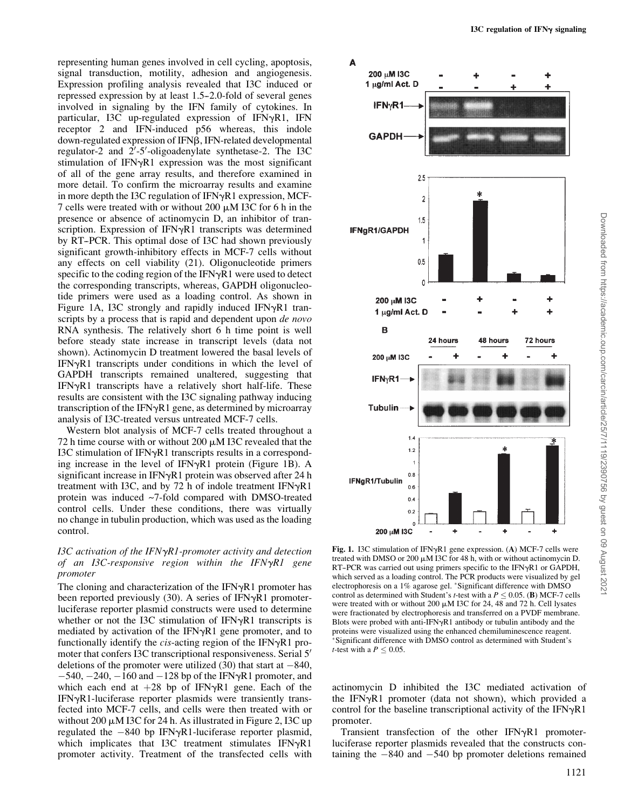representing human genes involved in cell cycling, apoptosis, signal transduction, motility, adhesion and angiogenesis. Expression profiling analysis revealed that I3C induced or repressed expression by at least 1.5–2.0-fold of several genes involved in signaling by the IFN family of cytokines. In particular, I3C up-regulated expression of IFN $\gamma$ R1, IFN receptor 2 and IFN-induced p56 whereas, this indole down-regulated expression of IFNB, IFN-related developmental regulator-2 and  $2'$ -5'-oligoadenylate synthetase-2. The I3C stimulation of IFN $\gamma$ R1 expression was the most significant of all of the gene array results, and therefore examined in more detail. To confirm the microarray results and examine in more depth the I3C regulation of IFN $\gamma$ R1 expression, MCF-7 cells were treated with or without 200  $\mu$ M I3C for 6 h in the presence or absence of actinomycin D, an inhibitor of transcription. Expression of IFN $\gamma$ R1 transcripts was determined by RT--PCR. This optimal dose of I3C had shown previously significant growth-inhibitory effects in MCF-7 cells without any effects on cell viability (21). Oligonucleotide primers specific to the coding region of the IFN $\gamma$ R1 were used to detect the corresponding transcripts, whereas, GAPDH oligonucleotide primers were used as a loading control. As shown in Figure 1A, I3C strongly and rapidly induced IFN $\gamma$ R1 transcripts by a process that is rapid and dependent upon *de novo* RNA synthesis. The relatively short 6 h time point is well before steady state increase in transcript levels (data not shown). Actinomycin D treatment lowered the basal levels of  $IFN<sub>Y</sub>R1$  transcripts under conditions in which the level of GAPDH transcripts remained unaltered, suggesting that  $IFN<sub>v</sub>R1$  transcripts have a relatively short half-life. These results are consistent with the I3C signaling pathway inducing transcription of the IFN $\gamma$ R1 gene, as determined by microarray analysis of I3C-treated versus untreated MCF-7 cells.

Western blot analysis of MCF-7 cells treated throughout a 72 h time course with or without 200  $\mu$ M I3C revealed that the I3C stimulation of IFN $\gamma$ R1 transcripts results in a corresponding increase in the level of IFN $\gamma$ R1 protein (Figure 1B). A significant increase in IFN $\gamma$ R1 protein was observed after 24 h treatment with I3C, and by 72 h of indole treatment  $IFN\gamma R1$ protein was induced ~7-fold compared with DMSO-treated control cells. Under these conditions, there was virtually no change in tubulin production, which was used as the loading control.

# I3C activation of the IFN $\gamma$ R1-promoter activity and detection of an I3C-responsive region within the IFN $\gamma$ R1 gene promoter

The cloning and characterization of the IFN $\gamma$ R1 promoter has been reported previously  $(30)$ . A series of IFN $\gamma$ R1 promoterluciferase reporter plasmid constructs were used to determine whether or not the I3C stimulation of IFN $\gamma$ R1 transcripts is mediated by activation of the IFN $\gamma$ R1 gene promoter, and to functionally identify the *cis*-acting region of the IFN $\gamma$ R1 promoter that confers I3C transcriptional responsiveness. Serial 5' deletions of the promoter were utilized (30) that start at  $-840$ ,  $-540$ ,  $-240$ ,  $-160$  and  $-128$  bp of the IFN $\gamma$ R1 promoter, and which each end at  $+28$  bp of IFN $\gamma$ R1 gene. Each of the  $IFN\gamma R1$ -luciferase reporter plasmids were transiently transfected into MCF-7 cells, and cells were then treated with or without  $200 \mu M$  I3C for 24 h. As illustrated in Figure 2, I3C up regulated the  $-840$  bp IFN $\gamma$ R1-luciferase reporter plasmid, which implicates that I3C treatment stimulates  $IFN\gamma R1$ promoter activity. Treatment of the transfected cells with



Fig. 1. I3C stimulation of IFN $\gamma$ R1 gene expression. (A) MCF-7 cells were treated with DMSO or 200  $\mu$ M I3C for 48 h, with or without actinomycin D. RT-PCR was carried out using primers specific to the IFNyR1 or GAPDH, which served as a loading control. The PCR products were visualized by gel electrophoresis on a 1% agarose gel. \*Significant difference with  $DMSO$ control as determined with Student's t-test with a  $P \le 0.05$ . (B) MCF-7 cells were treated with or without 200  $\mu$ M I3C for 24, 48 and 72 h. Cell lysates were fractionated by electrophoresis and transferred on a PVDF membrane. Blots were probed with anti-IFN $\gamma$ R1 antibody or tubulin antibody and the proteins were visualized using the enhanced chemiluminescence reagent. Significant difference with DMSO control as determined with Student's *t*-test with a  $P \leq 0.05$ .

actinomycin D inhibited the I3C mediated activation of the IFN $\gamma$ R1 promoter (data not shown), which provided a control for the baseline transcriptional activity of the IFN $\gamma$ R1 promoter.

Transient transfection of the other  $IFN<sub>Y</sub>R1$  promoterluciferase reporter plasmids revealed that the constructs containing the  $-840$  and  $-540$  bp promoter deletions remained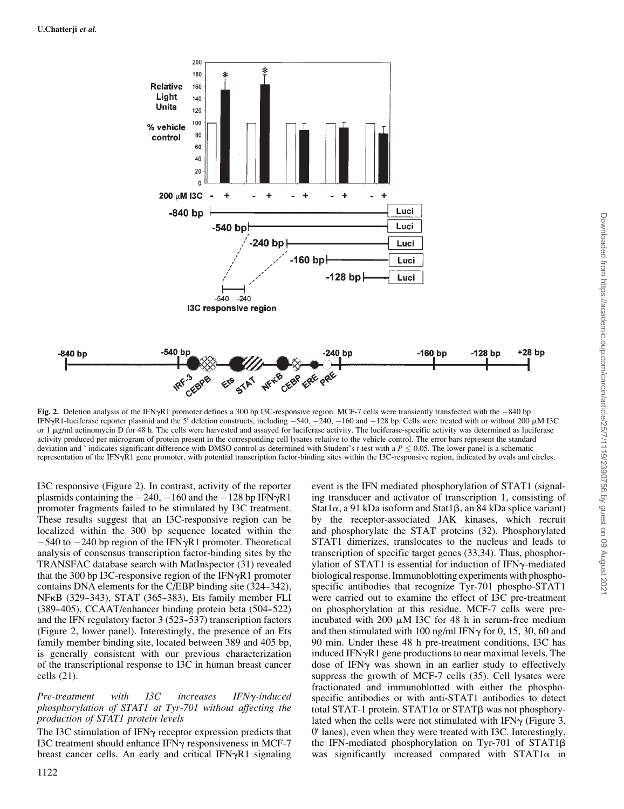

Fig. 2. Deletion analysis of the IFN $\gamma$ R1 promoter defines a 300 bp I3C-responsive region. MCF-7 cells were transiently transfected with the  $-840$  bp IFNyR1-luciferase reporter plasmid and the 5' deletion constructs, including  $-540$ ,  $-240$ ,  $-160$  and  $-128$  bp. Cells were treated with or without 200  $\mu$ M I3C or  $1 \mu$ g/ml actinomycin D for 48 h. The cells were harvested and assayed for luciferase activity. The luciferase-specific activity was determined as luciferase activity produced per microgram of protein present in the corresponding cell lysates relative to the vehicle control. The error bars represent the standard deviation and \* indicates significant difference with DMSO control as determined with Student's t-test with a  $P \le 0.05$ . The lower panel is a schematic representation of the IFNyR1 gene promoter, with potential transcription factor-binding sites within the I3C-responsive region, indicated by ovals and circles.

I3C responsive (Figure 2). In contrast, activity of the reporter plasmids containing the  $-240$ ,  $-160$  and the  $-128$  bp IFN $\gamma$ R1 promoter fragments failed to be stimulated by I3C treatment. These results suggest that an I3C-responsive region can be localized within the 300 bp sequence located within the  $-540$  to  $-240$  bp region of the IFN $\gamma$ R1 promoter. Theoretical analysis of consensus transcription factor-binding sites by the TRANSFAC database search with MatInspector (31) revealed that the 300 bp I3C-responsive region of the IFN $\gamma$ R1 promoter contains DNA elements for the C/EBP binding site (324–342), NF<sub>K</sub>B (329–343), STAT (365–383), Ets family member FLI  $(389-405)$ , CCAAT/enhancer binding protein beta  $(504-522)$ and the IFN regulatory factor 3 (523–537) transcription factors (Figure 2, lower panel). Interestingly, the presence of an Ets family member binding site, located between 389 and 405 bp, is generally consistent with our previous characterization of the transcriptional response to I3C in human breast cancer cells (21).

# $Pre-treatment$  with I3C increases IFN $\gamma$ -induced phosphorylation of STAT1 at Tyr-701 without affecting the production of STAT1 protein levels

The I3C stimulation of IFN $\gamma$  receptor expression predicts that I3C treatment should enhance IFN $\gamma$  responsiveness in MCF-7 breast cancer cells. An early and critical IFN $\gamma$ R1 signaling

event is the IFN mediated phosphorylation of STAT1 (signaling transducer and activator of transcription 1, consisting of Stat1 $\alpha$ , a 91 kDa isoform and Stat1 $\beta$ , an 84 kDa splice variant) by the receptor-associated JAK kinases, which recruit and phosphorylate the STAT proteins (32). Phosphorylated STAT1 dimerizes, translocates to the nucleus and leads to transcription of specific target genes (33,34). Thus, phosphorylation of STAT1 is essential for induction of IFN $\gamma$ -mediated biological response. Immunoblotting experiments with phosphospecific antibodies that recognize Tyr-701 phospho-STAT1 were carried out to examine the effect of I3C pre-treatment on phosphorylation at this residue. MCF-7 cells were preincubated with 200  $\mu$ M I3C for 48 h in serum-free medium and then stimulated with 100 ng/ml IFN $\gamma$  for 0, 15, 30, 60 and 90 min. Under these 48 h pre-treatment conditions, I3C has induced IFN $\gamma$ R1 gene productions to near maximal levels. The dose of IFN $\gamma$  was shown in an earlier study to effectively suppress the growth of MCF-7 cells (35). Cell lysates were fractionated and immunoblotted with either the phosphospecific antibodies or with anti-STAT1 antibodies to detect total STAT-1 protein. STAT1 $\alpha$  or STAT $\beta$  was not phosphorylated when the cells were not stimulated with IFN $\gamma$  (Figure 3, 0 0 lanes), even when they were treated with I3C. Interestingly, the IFN-mediated phosphorylation on Tyr-701 of  $STAT1\beta$ was significantly increased compared with  $STAT1\alpha$  in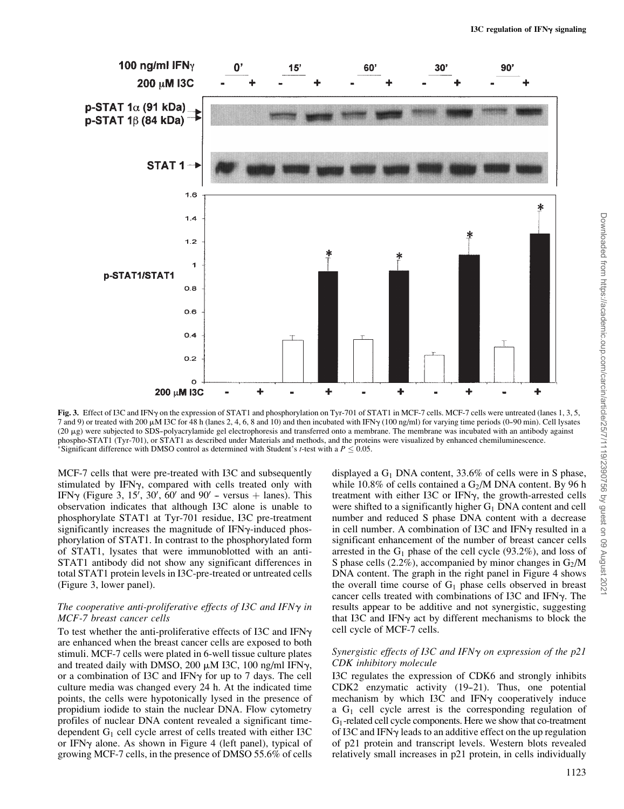

Fig. 3. Effect of I3C and IFN<sub>Y</sub> on the expression of STAT1 and phosphorylation on Tyr-701 of STAT1 in MCF-7 cells. MCF-7 cells were untreated (lanes 1, 3, 5, 7 and 9) or treated with 200  $\mu$ M I3C for 48 h (lanes 2, 4, 6, 8 and 10) and then incubated with IFN $\gamma$  (100 ng/ml) for varying time periods (0-90 min). Cell lysates (20 mg) were subjected to SDS--polyacrylamide gel electrophoresis and transferred onto a membrane. The membrane was incubated with an antibody against phospho-STAT1 (Tyr-701), or STAT1 as described under Materials and methods, and the proteins were visualized by enhanced chemiluminescence. \*Significant difference with DMSO control as determined with Student's t-test with a  $P \le 0.05$ .

MCF-7 cells that were pre-treated with I3C and subsequently stimulated by IFN $\gamma$ , compared with cells treated only with IFN $\gamma$  (Figure 3, 15', 30', 60' and 90' – versus + lanes). This observation indicates that although I3C alone is unable to phosphorylate STAT1 at Tyr-701 residue, I3C pre-treatment significantly increases the magnitude of IFN $\gamma$ -induced phosphorylation of STAT1. In contrast to the phosphorylated form of STAT1, lysates that were immunoblotted with an anti-STAT1 antibody did not show any significant differences in total STAT1 protein levels in I3C-pre-treated or untreated cells (Figure 3, lower panel).

# The cooperative anti-proliferative effects of I3C and IFN $\gamma$  in MCF-7 breast cancer cells

To test whether the anti-proliferative effects of I3C and IFN $\gamma$ are enhanced when the breast cancer cells are exposed to both stimuli. MCF-7 cells were plated in 6-well tissue culture plates and treated daily with DMSO, 200  $\mu$ M I3C, 100 ng/ml IFN $\gamma$ , or a combination of I3C and IFN $\gamma$  for up to 7 days. The cell culture media was changed every 24 h. At the indicated time points, the cells were hypotonically lysed in the presence of propidium iodide to stain the nuclear DNA. Flow cytometry profiles of nuclear DNA content revealed a significant timedependent  $G_1$  cell cycle arrest of cells treated with either I3C or IFN $\gamma$  alone. As shown in Figure 4 (left panel), typical of growing MCF-7 cells, in the presence of DMSO 55.6% of cells

displayed a  $G_1$  DNA content, 33.6% of cells were in S phase, while 10.8% of cells contained a  $G_2/M$  DNA content. By 96 h treatment with either I3C or IFN $\gamma$ , the growth-arrested cells were shifted to a significantly higher  $G_1$  DNA content and cell number and reduced S phase DNA content with a decrease in cell number. A combination of I3C and IFN $\gamma$  resulted in a significant enhancement of the number of breast cancer cells arrested in the  $G_1$  phase of the cell cycle (93.2%), and loss of S phase cells  $(2.2\%)$ , accompanied by minor changes in  $G_2/M$ DNA content. The graph in the right panel in Figure 4 shows the overall time course of  $G_1$  phase cells observed in breast cancer cells treated with combinations of I3C and IFN $\gamma$ . The results appear to be additive and not synergistic, suggesting that I3C and IFN $\gamma$  act by different mechanisms to block the cell cycle of MCF-7 cells.

# Synergistic effects of I3C and IFN $\gamma$  on expression of the p21 CDK inhibitory molecule

I3C regulates the expression of CDK6 and strongly inhibits  $CDK2$  enzymatic activity  $(19-21)$ . Thus, one potential mechanism by which I3C and IFN $\gamma$  cooperatively induce a  $G_1$  cell cycle arrest is the corresponding regulation of G1-related cell cycle components. Here we show that co-treatment of I3C and IFN $\gamma$  leads to an additive effect on the up regulation of p21 protein and transcript levels. Western blots revealed relatively small increases in p21 protein, in cells individually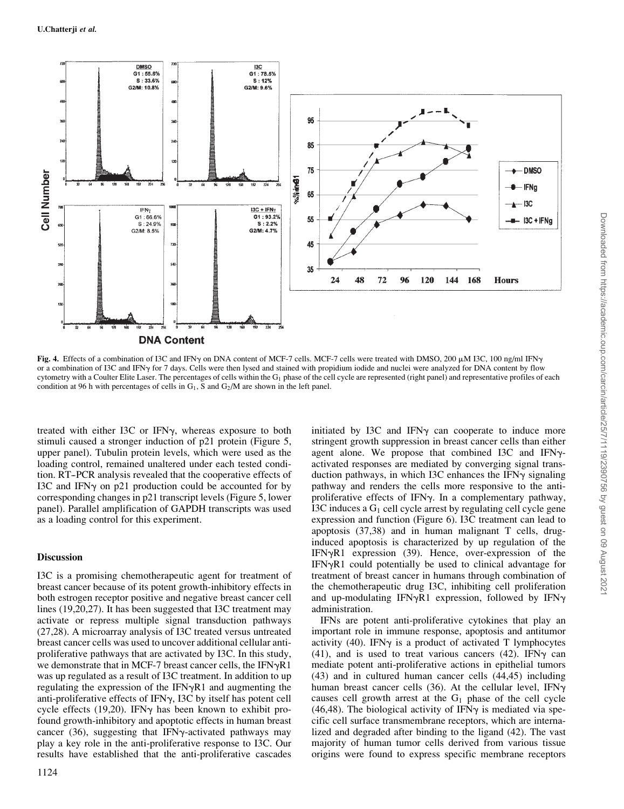

Fig. 4. Effects of a combination of I3C and IFN<sub>Y</sub> on DNA content of MCF-7 cells. MCF-7 cells were treated with DMSO, 200  $\mu$ M I3C, 100 ng/ml IFN<sub>Y</sub> or a combination of I3C and IFNy for 7 days. Cells were then lysed and stained with propidium iodide and nuclei were analyzed for DNA content by flow cytometry with a Coulter Elite Laser. The percentages of cells within the  $G_1$  phase of the cell cycle are represented (right panel) and representative profiles of each condition at 96 h with percentages of cells in  $G_1$ , S and  $G_2/M$  are shown in the left panel.

treated with either I3C or IFN $\gamma$ , whereas exposure to both stimuli caused a stronger induction of p21 protein (Figure 5, upper panel). Tubulin protein levels, which were used as the loading control, remained unaltered under each tested condition. RT--PCR analysis revealed that the cooperative effects of I3C and IFN $\gamma$  on p21 production could be accounted for by corresponding changes in p21 transcript levels (Figure 5, lower panel). Parallel amplification of GAPDH transcripts was used as a loading control for this experiment.

# **Discussion**

I3C is a promising chemotherapeutic agent for treatment of breast cancer because of its potent growth-inhibitory effects in both estrogen receptor positive and negative breast cancer cell lines (19,20,27). It has been suggested that I3C treatment may activate or repress multiple signal transduction pathways (27,28). A microarray analysis of I3C treated versus untreated breast cancer cells was used to uncover additional cellular antiproliferative pathways that are activated by I3C. In this study, we demonstrate that in MCF-7 breast cancer cells, the  $IFN\gamma R1$ was up regulated as a result of I3C treatment. In addition to up regulating the expression of the IFN $\gamma$ R1 and augmenting the anti-proliferative effects of IFNy, I3C by itself has potent cell cycle effects (19,20). IFN $\gamma$  has been known to exhibit profound growth-inhibitory and apoptotic effects in human breast cancer  $(36)$ , suggesting that IFN $\gamma$ -activated pathways may play a key role in the anti-proliferative response to I3C. Our results have established that the anti-proliferative cascades

initiated by I3C and IFN $\gamma$  can cooperate to induce more stringent growth suppression in breast cancer cells than either agent alone. We propose that combined I3C and IFN $\gamma$ activated responses are mediated by converging signal transduction pathways, in which I3C enhances the IFN $\gamma$  signaling pathway and renders the cells more responsive to the antiproliferative effects of IFN $\gamma$ . In a complementary pathway, I3C induces a  $G_1$  cell cycle arrest by regulating cell cycle gene expression and function (Figure 6). I3C treatment can lead to apoptosis (37,38) and in human malignant T cells, druginduced apoptosis is characterized by up regulation of the IFN $\gamma$ R1 expression (39). Hence, over-expression of the  $IFN<sub>Y</sub>R1$  could potentially be used to clinical advantage for treatment of breast cancer in humans through combination of the chemotherapeutic drug I3C, inhibiting cell proliferation and up-modulating IFN $\gamma$ R1 expression, followed by IFN $\gamma$ administration.

IFNs are potent anti-proliferative cytokines that play an important role in immune response, apoptosis and antitumor activity (40). IFN $\gamma$  is a product of activated T lymphocytes (41), and is used to treat various cancers (42). IFN $\gamma$  can mediate potent anti-proliferative actions in epithelial tumors (43) and in cultured human cancer cells (44,45) including human breast cancer cells  $(36)$ . At the cellular level, IFN $\gamma$ causes cell growth arrest at the  $G_1$  phase of the cell cycle (46,48). The biological activity of IFN $\gamma$  is mediated via specific cell surface transmembrane receptors, which are internalized and degraded after binding to the ligand (42). The vast majority of human tumor cells derived from various tissue origins were found to express specific membrane receptors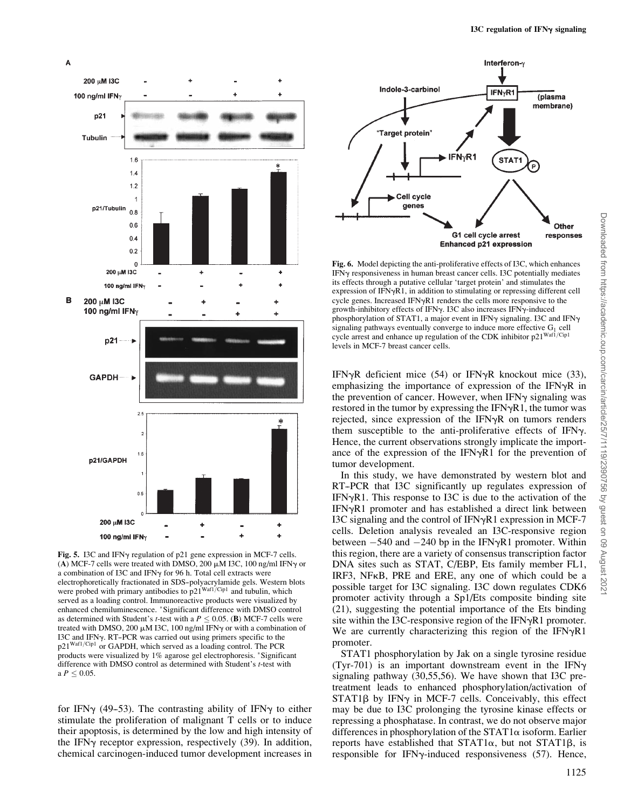

Fig. 5. I3C and IFNy regulation of p21 gene expression in MCF-7 cells. (A) MCF-7 cells were treated with DMSO, 200  $\mu$ M I3C, 100 ng/ml IFN $\gamma$  or a combination of I3C and IFN $\gamma$  for 96 h. Total cell extracts were electrophoretically fractionated in SDS--polyacrylamide gels. Western blots were probed with primary antibodies to  $p21^{Waf1/CIp1}$  and tubulin, which served as a loading control. Immunoreactive products were visualized by enhanced chemiluminescence. \*Significant difference with DMSO control as determined with Student's *t*-test with a  $P \leq 0.05$ . (B) MCF-7 cells were treated with DMSO, 200  $\mu$ M I3C, 100 ng/ml IFN $\gamma$  or with a combination of I3C and IFNg. RT--PCR was carried out using primers specific to the p21<sup>Waf1/Cip1</sup> or GAPDH, which served as a loading control. The PCR products were visualized by 1% agarose gel electrophoresis. \*Significant difference with DMSO control as determined with Student's t-test with  $a P < 0.05$ .

for IFN $\gamma$  (49-53). The contrasting ability of IFN $\gamma$  to either stimulate the proliferation of malignant T cells or to induce their apoptosis, is determined by the low and high intensity of the IFN $\gamma$  receptor expression, respectively (39). In addition, chemical carcinogen-induced tumor development increases in



Fig. 6. Model depicting the anti-proliferative effects of I3C, which enhances  $IFNv$  responsiveness in human breast cancer cells. I3C potentially mediates its effects through a putative cellular 'target protein' and stimulates the expression of  $IFN\gamma R1$ , in addition to stimulating or repressing different cell cycle genes. Increased IFN $\gamma$ R1 renders the cells more responsive to the growth-inhibitory effects of IFN $\gamma$ . I3C also increases IFN $\gamma$ -induced phosphorylation of STAT1, a major event in IFN $\gamma$  signaling. I3C and IFN $\gamma$ signaling pathways eventually converge to induce more effective  $G_1$  cell cycle arrest and enhance up regulation of the CDK inhibitor  $p21^{Waf1/Cip1}$ levels in MCF-7 breast cancer cells.

IFN $\gamma$ R deficient mice (54) or IFN $\gamma$ R knockout mice (33), emphasizing the importance of expression of the IFN $\nu$ R in the prevention of cancer. However, when IFNy signaling was restored in the tumor by expressing the IFN $\gamma$ R1, the tumor was rejected, since expression of the IFN $\gamma$ R on tumors renders them susceptible to the anti-proliferative effects of IFN $\gamma$ . Hence, the current observations strongly implicate the importance of the expression of the IFN $\gamma$ R1 for the prevention of tumor development.

In this study, we have demonstrated by western blot and RT-PCR that I3C significantly up regulates expression of IFN $\gamma$ R1. This response to I3C is due to the activation of the IFN $\gamma$ R1 promoter and has established a direct link between I3C signaling and the control of IFN $\gamma$ R1 expression in MCF-7 cells. Deletion analysis revealed an I3C-responsive region between  $-540$  and  $-240$  bp in the IFN $\gamma$ R1 promoter. Within this region, there are a variety of consensus transcription factor DNA sites such as STAT, C/EBP, Ets family member FL1, IRF3, NFkB, PRE and ERE, any one of which could be a possible target for I3C signaling. I3C down regulates CDK6 promoter activity through a Sp1/Ets composite binding site (21), suggesting the potential importance of the Ets binding site within the I3C-responsive region of the IFN $\gamma$ R1 promoter. We are currently characterizing this region of the IFN $\gamma$ R1 promoter.

STAT1 phosphorylation by Jak on a single tyrosine residue (Tyr-701) is an important downstream event in the IFN $\gamma$ signaling pathway (30,55,56). We have shown that I3C pretreatment leads to enhanced phosphorylation/activation of  $STAT1\beta$  by IFN $\gamma$  in MCF-7 cells. Conceivably, this effect may be due to I3C prolonging the tyrosine kinase effects or repressing a phosphatase. In contrast, we do not observe major differences in phosphorylation of the  $STAT1\alpha$  isoform. Earlier reports have established that  $STAT1\alpha$ , but not  $STAT1\beta$ , is responsible for IFN $\gamma$ -induced responsiveness (57). Hence,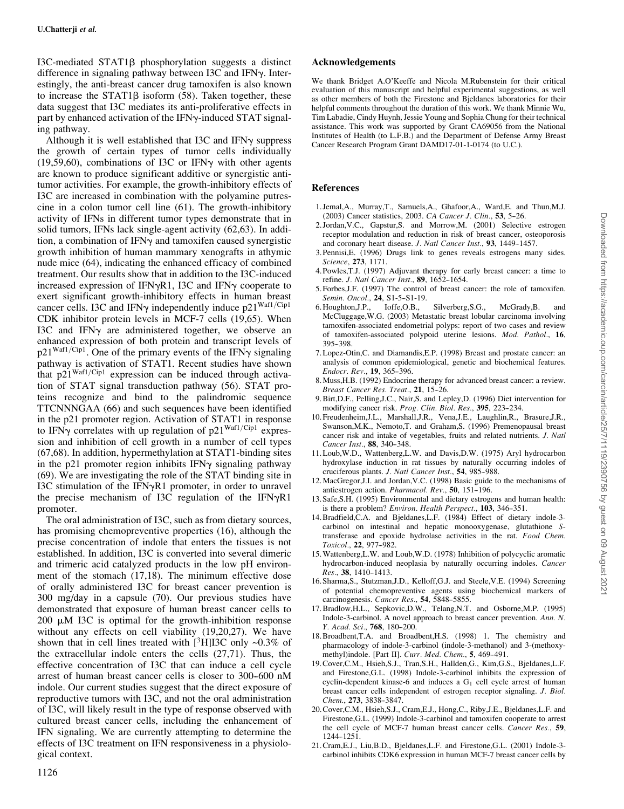I3C-mediated STAT1 $\beta$  phosphorylation suggests a distinct difference in signaling pathway between I3C and IFNy. Interestingly, the anti-breast cancer drug tamoxifen is also known to increase the  $STAT1\beta$  isoform (58). Taken together, these data suggest that I3C mediates its anti-proliferative effects in part by enhanced activation of the IFN $\gamma$ -induced STAT signaling pathway.

Although it is well established that I3C and IFN $\gamma$  suppress the growth of certain types of tumor cells individually (19,59,60), combinations of I3C or IFN $\gamma$  with other agents are known to produce significant additive or synergistic antitumor activities. For example, the growth-inhibitory effects of I3C are increased in combination with the polyamine putrescine in a colon tumor cell line (61). The growth-inhibitory activity of IFNs in different tumor types demonstrate that in solid tumors, IFNs lack single-agent activity (62,63). In addition, a combination of IFN $\gamma$  and tamoxifen caused synergistic growth inhibition of human mammary xenografts in athymic nude mice (64), indicating the enhanced efficacy of combined treatment. Our results show that in addition to the I3C-induced increased expression of IFN $\gamma$ R1, I3C and IFN $\gamma$  cooperate to exert significant growth-inhibitory effects in human breast cancer cells. I3C and IFN $\gamma$  independently induce p21<sup>Waf1/Cip1</sup> CDK inhibitor protein levels in MCF-7 cells (19,65). When I3C and IFN $\gamma$  are administered together, we observe an enhanced expression of both protein and transcript levels of  $p21^{Waf1/Cip1}$ . One of the primary events of the IFN $\gamma$  signaling pathway is activation of STAT1. Recent studies have shown that  $p21^{Waf1/Cip1}$  expression can be induced through activation of STAT signal transduction pathway (56). STAT proteins recognize and bind to the palindromic sequence TTCNNNGAA (66) and such sequences have been identified in the p21 promoter region. Activation of STAT1 in response to IFN $\gamma$  correlates with up regulation of p21<sup>Waf1/Cip1</sup> expression and inhibition of cell growth in a number of cell types (67,68). In addition, hypermethylation at STAT1-binding sites in the p21 promoter region inhibits IFN $\gamma$  signaling pathway (69). We are investigating the role of the STAT binding site in I3C stimulation of the IFN $\gamma$ R1 promoter, in order to unravel the precise mechanism of I3C regulation of the IFN $\gamma$ R1 promoter.

The oral administration of I3C, such as from dietary sources, has promising chemopreventive properties (16), although the precise concentration of indole that enters the tissues is not established. In addition, I3C is converted into several dimeric and trimeric acid catalyzed products in the low pH environment of the stomach (17,18). The minimum effective dose of orally administered I3C for breast cancer prevention is 300 mg/day in a capsule (70). Our previous studies have demonstrated that exposure of human breast cancer cells to 200  $\mu$ M I3C is optimal for the growth-inhibition response without any effects on cell viability (19,20,27). We have shown that in cell lines treated with  $[^3H]$ I3C only ~0.3% of the extracellular indole enters the cells (27,71). Thus, the effective concentration of I3C that can induce a cell cycle arrest of human breast cancer cells is closer to 300-600 nM indole. Our current studies suggest that the direct exposure of reproductive tumors with I3C, and not the oral administration of I3C, will likely result in the type of response observed with cultured breast cancer cells, including the enhancement of IFN signaling. We are currently attempting to determine the effects of I3C treatment on IFN responsiveness in a physiological context.

# Acknowledgements

We thank Bridget A.O'Keeffe and Nicola M.Rubenstein for their critical evaluation of this manuscript and helpful experimental suggestions, as well as other members of both the Firestone and Bjeldanes laboratories for their helpful comments throughout the duration of this work. We thank Minnie Wu, Tim Labadie, Cindy Huynh, Jessie Young and Sophia Chung for their technical assistance. This work was supported by Grant CA69056 from the National Institutes of Health (to L.F.B.) and the Department of Defense Army Breast Cancer Research Program Grant DAMD17-01-1-0174 (to U.C.).

### References

- 1. Jemal,A., Murray,T., Samuels,A., Ghafoor,A., Ward,E. and Thun,M.J. (2003) Cancer statistics, 2003. CA Cancer J. Clin., 53, 5-26.
- 2. Jordan,V.C., Gapstur,S. and Morrow,M. (2001) Selective estrogen receptor modulation and reduction in risk of breast cancer, osteoporosis and coronary heart disease. J. Natl Cancer Inst., 93, 1449-1457.
- 3. Pennisi,E. (1996) Drugs link to genes reveals estrogens many sides. Science, 273, 1171.
- 4. Powles,T.J. (1997) Adjuvant therapy for early breast cancer: a time to refine. J. Natl Cancer Inst., 89, 1652-1654.
- 5. Forbes,J.F. (1997) The control of breast cancer: the role of tamoxifen. Semin. Oncol., 24, S1-5-S1-19.
- 6. Houghton,J.P., Ioffe,O.B., Silverberg,S.G., McGrady,B. and McCluggage,W.G. (2003) Metastatic breast lobular carcinoma involving tamoxifen-associated endometrial polyps: report of two cases and review of tamoxifen-associated polypoid uterine lesions. Mod. Pathol., 16, 395--398.
- 7. Lopez-Otin,C. and Diamandis,E.P. (1998) Breast and prostate cancer: an analysis of common epidemiological, genetic and biochemical features. Endocr. Rev., 19, 365-396.
- 8.Muss,H.B. (1992) Endocrine therapy for advanced breast cancer: a review. Breast Cancer Res. Treat., 21, 15-26.
- 9.Birt,D.F., Pelling,J.C., Nair,S. and Lepley,D. (1996) Diet intervention for modifying cancer risk. Prog. Clin. Biol. Res., 395, 223-234.
- 10. Freudenheim,J.L., Marshall,J.R., Vena,J.E., Laughlin,R., Brasure,J.R., Swanson,M.K., Nemoto,T. and Graham,S. (1996) Premenopausal breast cancer risk and intake of vegetables, fruits and related nutrients. J. Natl Cancer Inst., 88, 340-348.
- 11. Loub,W.D., Wattenberg,L.W. and Davis,D.W. (1975) Aryl hydrocarbon hydroxylase induction in rat tissues by naturally occurring indoles of cruciferous plants. J. Natl Cancer Inst., 54, 985-988.
- 12.MacGregor,J.I. and Jordan,V.C. (1998) Basic guide to the mechanisms of antiestrogen action. Pharmacol. Rev., 50, 151-196.
- 13. Safe,S.H. (1995) Environmental and dietary estrogens and human health: is there a problem? Environ. Health Perspect., 103, 346-351.
- 14.Bradfield,C.A. and Bjeldanes,L.F. (1984) Effect of dietary indole-3 carbinol on intestinal and hepatic monooxygenase, glutathione Stransferase and epoxide hydrolase activities in the rat. Food Chem. Toxicol., 22, 977-982.
- 15.Wattenberg,L.W. and Loub,W.D. (1978) Inhibition of polycyclic aromatic hydrocarbon-induced neoplasia by naturally occurring indoles. Cancer Res., 38, 1410-1413.
- 16. Sharma,S., Stutzman,J.D., Kelloff,G.J. and Steele,V.E. (1994) Screening of potential chemopreventive agents using biochemical markers of carcinogenesis. Cancer Res., 54, 5848-5855.
- 17.Bradlow,H.L., Sepkovic,D.W., Telang,N.T. and Osborne,M.P. (1995) Indole-3-carbinol. A novel approach to breast cancer prevention. Ann. N. Y. Acad. Sci., 768, 180-200.
- 18.Broadbent,T.A. and Broadbent,H.S. (1998) 1. The chemistry and pharmacology of indole-3-carbinol (indole-3-methanol) and 3-(methoxymethyl)indole. [Part II]. Curr. Med. Chem., 5, 469-491.
- 19.Cover,C.M., Hsieh,S.J., Tran,S.H., Hallden,G., Kim,G.S., Bjeldanes,L.F. and Firestone,G.L. (1998) Indole-3-carbinol inhibits the expression of cyclin-dependent kinase-6 and induces a  $G_1$  cell cycle arrest of human breast cancer cells independent of estrogen receptor signaling. J. Biol. Chem., 273, 3838-3847.
- 20.Cover,C.M., Hsieh,S.J., Cram,E.J., Hong,C., Riby,J.E., Bjeldanes,L.F. and Firestone,G.L. (1999) Indole-3-carbinol and tamoxifen cooperate to arrest the cell cycle of MCF-7 human breast cancer cells. Cancer Res., 59, 1244--1251.
- 21.Cram,E.J., Liu,B.D., Bjeldanes,L.F. and Firestone,G.L. (2001) Indole-3 carbinol inhibits CDK6 expression in human MCF-7 breast cancer cells by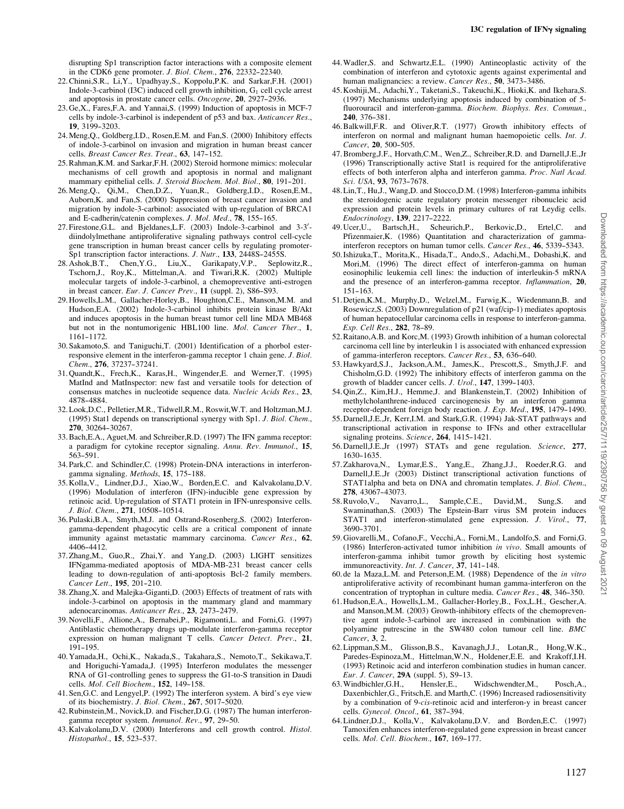disrupting Sp1 transcription factor interactions with a composite element in the CDK6 gene promoter. J. Biol. Chem., 276, 22332-22340.

- 22.Chinni,S.R., Li,Y., Upadhyay,S., Koppolu,P.K. and Sarkar,F.H. (2001) Indole-3-carbinol  $(13C)$  induced cell growth inhibition,  $G_1$  cell cycle arrest and apoptosis in prostate cancer cells. Oncogene, 20, 2927-2936.
- 23. Ge,X., Fares,F.A. and Yannai,S. (1999) Induction of apoptosis in MCF-7 cells by indole-3-carbinol is independent of p53 and bax. Anticancer Res., 19, 3199--3203.
- 24.Meng,Q., Goldberg,I.D., Rosen,E.M. and Fan,S. (2000) Inhibitory effects of indole-3-carbinol on invasion and migration in human breast cancer cells. Breast Cancer Res. Treat., 63, 147-152.
- 25.Rahman,K.M. and Sarkar,F.H. (2002) Steroid hormone mimics: molecular mechanisms of cell growth and apoptosis in normal and malignant mammary epithelial cells. J. Steroid Biochem. Mol. Biol., 80, 191-201.
- 26.Meng,Q., Qi,M., Chen,D.Z., Yuan,R., Goldberg,I.D., Rosen,E.M., Auborn,K. and Fan,S. (2000) Suppression of breast cancer invasion and migration by indole-3-carbinol: associated with up-regulation of BRCA1 and E-cadherin/catenin complexes. J. Mol. Med., 78, 155-165.
- 27. Firestone, G.L. and Bjeldanes, L.F. (2003) Indole-3-carbinol and 3-3'diindolylmethane antiproliferative signaling pathways control cell-cycle gene transcription in human breast cancer cells by regulating promoter-Sp1 transcription factor interactions. J. Nutr., 133, 2448S-2455S.
- 28. Ashok,B.T., Chen,Y.G., Liu,X., Garikapaty,V.P., Seplowitz,R., Tschorn,J., Roy,K., Mittelman,A. and Tiwari,R.K. (2002) Multiple molecular targets of indole-3-carbinol, a chemopreventive anti-estrogen in breast cancer. Eur. J. Cancer Prev., 11 (suppl. 2), S86-S93.
- 29. Howells,L.M., Gallacher-Horley,B., Houghton,C.E., Manson,M.M. and Hudson,E.A. (2002) Indole-3-carbinol inhibits protein kinase B/Akt and induces apoptosis in the human breast tumor cell line MDA MB468 but not in the nontumorigenic HBL100 line. Mol. Cancer Ther., 1, 1161--1172.
- 30. Sakamoto,S. and Taniguchi,T. (2001) Identification of a phorbol esterresponsive element in the interferon-gamma receptor 1 chain gene. J. Biol. Chem., 276, 37237-37241.
- 31. Quandt,K., Frech,K., Karas,H., Wingender,E. and Werner,T. (1995) MatInd and MatInspector: new fast and versatile tools for detection of consensus matches in nucleotide sequence data. Nucleic Acids Res., 23, 4878--4884.
- 32. Look,D.C., Pelletier,M.R., Tidwell,R.M., Roswit,W.T. and Holtzman,M.J. (1995) Stat1 depends on transcriptional synergy with Sp1. J. Biol. Chem., 270, 30264-30267.
- 33.Bach,E.A., Aguet,M. and Schreiber,R.D. (1997) The IFN gamma receptor: a paradigm for cytokine receptor signaling. Annu. Rev. Immunol., 15, 563--591.
- 34. Park,C. and Schindler,C. (1998) Protein-DNA interactions in interferongamma signaling. Methods, 15, 175-188.
- 35. Kolla,V., Lindner,D.J., Xiao,W., Borden,E.C. and Kalvakolanu,D.V. (1996) Modulation of interferon (IFN)-inducible gene expression by retinoic acid. Up-regulation of STAT1 protein in IFN-unresponsive cells. J. Biol. Chem., 271, 10508-10514.
- 36. Pulaski,B.A., Smyth,M.J. and Ostrand-Rosenberg,S. (2002) Interferongamma-dependent phagocytic cells are a critical component of innate immunity against metastatic mammary carcinoma. Cancer Res., 62, 4406-4412.
- 37. Zhang,M., Guo,R., Zhai,Y. and Yang,D. (2003) LIGHT sensitizes IFNgamma-mediated apoptosis of MDA-MB-231 breast cancer cells leading to down-regulation of anti-apoptosis Bcl-2 family members.  $Cancer$  Lett.,  $195, 201-210$ .
- 38. Zhang,X. and Malejka-Giganti,D. (2003) Effects of treatment of rats with indole-3-carbinol on apoptosis in the mammary gland and mammary adenocarcinomas. Anticancer Res., 23, 2473-2479.
- 39. Novelli,F., Allione,A., Bernabei,P., Rigamonti,L. and Forni,G. (1997) Antiblastic chemotherapy drugs up-modulate interferon-gamma receptor expression on human malignant T cells. Cancer Detect. Prev., 21,  $191 - 195$ .
- 40. Yamada,H., Ochi,K., Nakada,S., Takahara,S., Nemoto,T., Sekikawa,T. and Horiguchi-Yamada,J. (1995) Interferon modulates the messenger RNA of G1-controlling genes to suppress the G1-to-S transition in Daudi cells. Mol. Cell Biochem., 152, 149-158.
- 41. Sen,G.C. and Lengyel,P. (1992) The interferon system. A bird's eye view of its biochemistry. J. Biol. Chem., 267, 5017-5020.
- 42.Rubinstein,M., Novick,D. and Fischer,D.G. (1987) The human interferongamma receptor system. Immunol. Rev., 97, 29-50.
- 43. Kalvakolanu,D.V. (2000) Interferons and cell growth control. Histol. Histopathol., 15, 523-537.
- 44.Wadler,S. and Schwartz,E.L. (1990) Antineoplastic activity of the combination of interferon and cytotoxic agents against experimental and human malignancies: a review. Cancer Res., 50, 3473-3486.
- 45. Koshiji,M., Adachi,Y., Taketani,S., Takeuchi,K., Hioki,K. and Ikehara,S. (1997) Mechanisms underlying apoptosis induced by combination of 5 fluorouracil and interferon-gamma. Biochem. Biophys. Res. Commun., 240, 376--381.
- 46.Balkwill,F.R. and Oliver,R.T. (1977) Growth inhibitory effects of interferon on normal and malignant human haemopoietic cells. Int. J. Cancer, 20, 500-505.
- 47.Bromberg,J.F., Horvath,C.M., Wen,Z., Schreiber,R.D. and Darnell,J.E.,Jr (1996) Transcriptionally active Stat1 is required for the antiproliferative effects of both interferon alpha and interferon gamma. Proc. Natl Acad. Sci. USA, 93, 7673-7678.
- 48. Lin,T., Hu,J., Wang,D. and Stocco,D.M. (1998) Interferon-gamma inhibits the steroidogenic acute regulatory protein messenger ribonucleic acid expression and protein levels in primary cultures of rat Leydig cells. Endocrinology, 139, 2217-2222.
- 49. Ucer,U., Bartsch,H., Scheurich,P., Berkovic,D., Ertel,C. and Pfizenmaier,K. (1986) Quantitation and characterization of gammainterferon receptors on human tumor cells. Cancer Res., 46, 5339-5343.
- 50. Ishizuka,T., Morita,K., Hisada,T., Ando,S., Adachi,M., Dobashi,K. and Mori,M. (1996) The direct effect of interferon-gamma on human eosinophilic leukemia cell lines: the induction of interleukin-5 mRNA and the presence of an interferon-gamma receptor. Inflammation, 20, 151--163.
- 51. Detjen,K.M., Murphy,D., Welzel,M., Farwig,K., Wiedenmann,B. and Rosewicz,S. (2003) Downregulation of p21 (waf/cip-1) mediates apoptosis of human hepatocellular carcinoma cells in response to interferon-gamma. Exp. Cell Res., 282, 78-89.
- 52.Raitano,A.B. and Korc,M. (1993) Growth inhibition of a human colorectal carcinoma cell line by interleukin 1 is associated with enhanced expression of gamma-interferon receptors. Cancer Res., 53, 636-640.
- 53. Hawkyard,S.J., Jackson,A.M., James,K., Prescott,S., Smyth,J.F. and Chisholm,G.D. (1992) The inhibitory effects of interferon gamma on the growth of bladder cancer cells. J. Urol., 147, 1399-1403.
- 54. Qin,Z., Kim,H.J., Hemme,J. and Blankenstein,T. (2002) Inhibition of methylcholanthrene-induced carcinogenesis by an interferon gamma receptor-dependent foreign body reaction. J. Exp. Med., 195, 1479-1490.
- 55. Darnell,J.E.,Jr, Kerr,I.M. and Stark,G.R. (1994) Jak-STAT pathways and transcriptional activation in response to IFNs and other extracellular signaling proteins. Science, 264, 1415-1421.
- 56. Darnell,J.E.,Jr (1997) STATs and gene regulation. Science, 277, 1630-1635.
- 57. Zakharova,N., Lymar,E.S., Yang,E., Zhang,J.J., Roeder,R.G. and Darnell,J.E.,Jr (2003) Distinct transcriptional activation functions of STAT1alpha and beta on DNA and chromatin templates. J. Biol. Chem., 278, 43067-43073.<br>58. Ruvolo, V., Navarro, L.,
- Sample, C.E., David, M., Sung, S. and Swaminathan,S. (2003) The Epstein-Barr virus SM protein induces STAT1 and interferon-stimulated gene expression. J. Virol., 77, 3690-3701.
- 59. Giovarelli,M., Cofano,F., Vecchi,A., Forni,M., Landolfo,S. and Forni,G. (1986) Interferon-activated tumor inhibition in vivo. Small amounts of interferon-gamma inhibit tumor growth by eliciting host systemic immunoreactivity. Int. J. Cancer, 37, 141-148.
- 60. de la Maza,L.M. and Peterson,E.M. (1988) Dependence of the in vitro antiproliferative activity of recombinant human gamma-interferon on the concentration of tryptophan in culture media. Cancer Res., 48, 346-350.
- 61. Hudson,E.A., Howells,L.M., Gallacher-Horley,B., Fox,L.H., Gescher,A. and Manson,M.M. (2003) Growth-inhibitory effects of the chemopreventive agent indole-3-carbinol are increased in combination with the polyamine putrescine in the SW480 colon tumour cell line. BMC Cancer, 3, 2.
- 62. Lippman,S.M., Glisson,B.S., Kavanagh,J.J., Lotan,R., Hong,W.K., Paredes-Espinoza,M., Hittelman,W.N., Holdener,E.E. and Krakoff,I.H. (1993) Retinoic acid and interferon combination studies in human cancer. Eur. J. Cancer, 29A (suppl. 5), S9-13.
- 63.Windbichler,G.H., Hensler,E., Widschwendter,M., Posch,A., Daxenbichler,G., Fritsch,E. and Marth,C. (1996) Increased radiosensitivity by a combination of 9-cis-retinoic acid and interferon-y in breast cancer cells. Gynecol. Oncol., 61, 387-394.
- 64. Lindner,D.J., Kolla,V., Kalvakolanu,D.V. and Borden,E.C. (1997) Tamoxifen enhances interferon-regulated gene expression in breast cancer cells. Mol. Cell. Biochem., 167, 169-177.

202

Downloaded from https://academic.oup.com/carcin/article/25/7/1119/2390756 by guest on 09 August Downloaded from https://academic.oup.com/carcin/article/25/7/1119/2390756 by guest on 09 August 2021